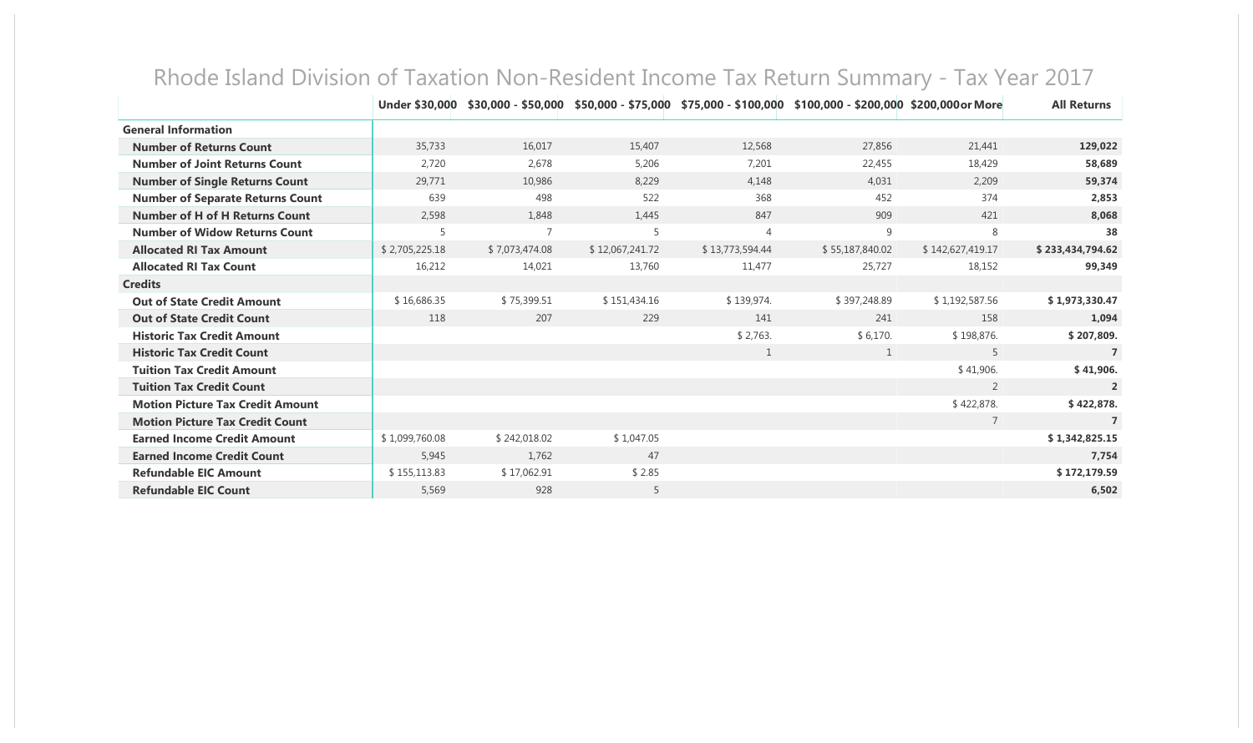|                                         | Under \$30,000 |                |                 |                 | $$30,000 - $50,000$ $$50,000 - $75,000$ $$75,000 - $100,000$ $$100,000 - $200,000$ $$200,000$ or More |                  | <b>All Returns</b> |
|-----------------------------------------|----------------|----------------|-----------------|-----------------|-------------------------------------------------------------------------------------------------------|------------------|--------------------|
| <b>General Information</b>              |                |                |                 |                 |                                                                                                       |                  |                    |
| <b>Number of Returns Count</b>          | 35,733         | 16,017         | 15,407          | 12,568          | 27,856                                                                                                | 21,441           | 129,022            |
| <b>Number of Joint Returns Count</b>    | 2,720          | 2,678          | 5,206           | 7,201           | 22,455                                                                                                | 18,429           | 58,689             |
| <b>Number of Single Returns Count</b>   | 29,771         | 10,986         | 8,229           | 4,148           | 4,031                                                                                                 | 2,209            | 59,374             |
| <b>Number of Separate Returns Count</b> | 639            | 498            | 522             | 368             | 452                                                                                                   | 374              | 2,853              |
| <b>Number of H of H Returns Count</b>   | 2,598          | 1,848          | 1,445           | 847             | 909                                                                                                   | 421              | 8.068              |
| <b>Number of Widow Returns Count</b>    | 5              | $\overline{7}$ | 5               | $\overline{4}$  | 9                                                                                                     | 8                | 38                 |
| <b>Allocated RI Tax Amount</b>          | \$2,705,225.18 | \$7,073,474.08 | \$12,067,241.72 | \$13,773,594.44 | \$55,187,840.02                                                                                       | \$142,627,419.17 | \$233,434,794.62   |
| <b>Allocated RI Tax Count</b>           | 16,212         | 14,021         | 13,760          | 11,477          | 25,727                                                                                                | 18,152           | 99,349             |
| <b>Credits</b>                          |                |                |                 |                 |                                                                                                       |                  |                    |
| <b>Out of State Credit Amount</b>       | \$16,686.35    | \$75,399.51    | \$151,434.16    | \$139,974.      | \$397,248.89                                                                                          | \$1,192,587.56   | \$1,973,330.47     |
| <b>Out of State Credit Count</b>        | 118            | 207            | 229             | 141             | 241                                                                                                   | 158              | 1,094              |
| <b>Historic Tax Credit Amount</b>       |                |                |                 | \$2,763.        | \$6,170.                                                                                              | \$198,876.       | \$207,809.         |
| <b>Historic Tax Credit Count</b>        |                |                |                 | 1               | 1                                                                                                     | 5                | 7                  |
| <b>Tuition Tax Credit Amount</b>        |                |                |                 |                 |                                                                                                       | \$41,906.        | \$41,906.          |
| <b>Tuition Tax Credit Count</b>         |                |                |                 |                 |                                                                                                       | 2                | $\overline{2}$     |
| <b>Motion Picture Tax Credit Amount</b> |                |                |                 |                 |                                                                                                       | \$422,878.       | \$422,878.         |
| <b>Motion Picture Tax Credit Count</b>  |                |                |                 |                 |                                                                                                       | $\overline{7}$   | $\overline{7}$     |
| <b>Earned Income Credit Amount</b>      | \$1,099,760.08 | \$242,018.02   | \$1,047.05      |                 |                                                                                                       |                  | \$1,342,825.15     |
| <b>Earned Income Credit Count</b>       | 5,945          | 1,762          | 47              |                 |                                                                                                       |                  | 7,754              |
| <b>Refundable EIC Amount</b>            | \$155,113.83   | \$17,062.91    | \$2.85          |                 |                                                                                                       |                  | \$172,179.59       |
| <b>Refundable EIC Count</b>             | 5,569          | 928            | 5               |                 |                                                                                                       |                  | 6,502              |

## Rhode Island Division of Taxation Non-Resident Income Tax Return Summary - Tax Year 2017